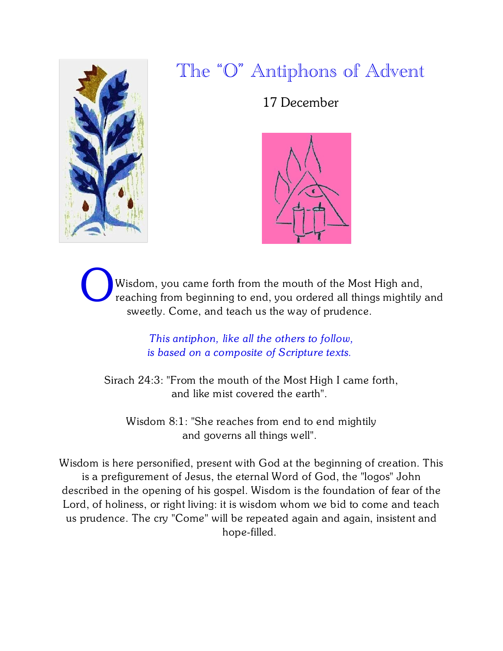

17 December



Wisdom, you came forth from the mouth of the Most High and, reaching from beginning to end, you ordered all things mightily and sweetly. Come, and teach us the way of prudence.

> *This antiphon, like all the others to follow, is based on a composite of Scripture texts.*

Sirach 24:3: "From the mouth of the Most High I came forth, and like mist covered the earth".

Wisdom 8:1: "She reaches from end to end mightily and governs all things well".

Wisdom is here personified, present with God at the beginning of creation. This is a prefigurement of Jesus, the eternal Word of God, the "logos" John described in the opening of his gospel. Wisdom is the foundation of fear of the Lord, of holiness, or right living: it is wisdom whom we bid to come and teach us prudence. The cry "Come" will be repeated again and again, insistent and hope-filled.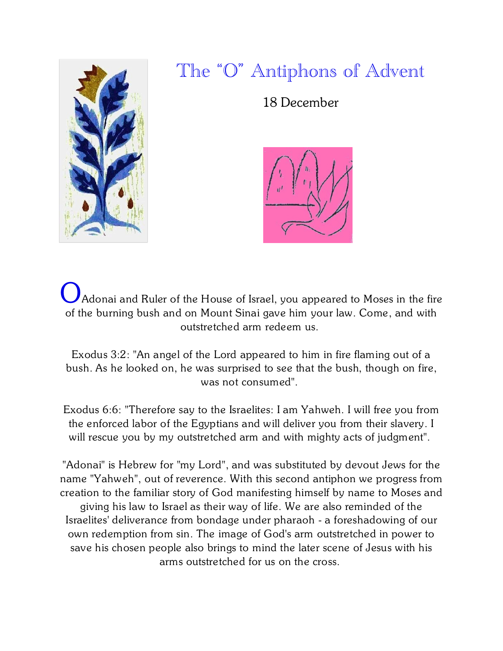

18 December



Adonai and Ruler of the House of Israel, you appeared to Moses in the fire of the burning bush and on Mount Sinai gave him your law. Come, and with outstretched arm redeem us.

Exodus 3:2: "An angel of the Lord appeared to him in fire flaming out of a bush. As he looked on, he was surprised to see that the bush, though on fire, was not consumed".

Exodus 6:6: "Therefore say to the Israelites: I am Yahweh. I will free you from the enforced labor of the Egyptians and will deliver you from their slavery. I will rescue you by my outstretched arm and with mighty acts of judgment".

"Adonai" is Hebrew for "my Lord", and was substituted by devout Jews for the name "Yahweh", out of reverence. With this second antiphon we progress from creation to the familiar story of God manifesting himself by name to Moses and giving his law to Israel as their way of life. We are also reminded of the Israelites' deliverance from bondage under pharaoh - a foreshadowing of our own redemption from sin. The image of God's arm outstretched in power to save his chosen people also brings to mind the later scene of Jesus with his arms outstretched for us on the cross.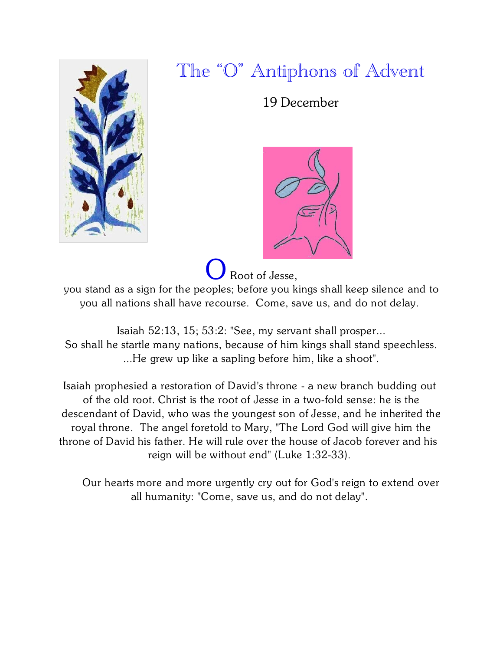

19 December



Root of Jesse,

you stand as a sign for the peoples; before you kings shall keep silence and to you all nations shall have recourse. Come, save us, and do not delay.

Isaiah 52:13, 15; 53:2: "See, my servant shall prosper... So shall he startle many nations, because of him kings shall stand speechless. ...He grew up like a sapling before him, like a shoot".

Isaiah prophesied a restoration of David's throne - a new branch budding out of the old root. Christ is the root of Jesse in a two-fold sense: he is the descendant of David, who was the youngest son of Jesse, and he inherited the royal throne. The angel foretold to Mary, "The Lord God will give him the throne of David his father. He will rule over the house of Jacob forever and his reign will be without end" (Luke 1:32-33).

 Our hearts more and more urgently cry out for God's reign to extend over all humanity: "Come, save us, and do not delay".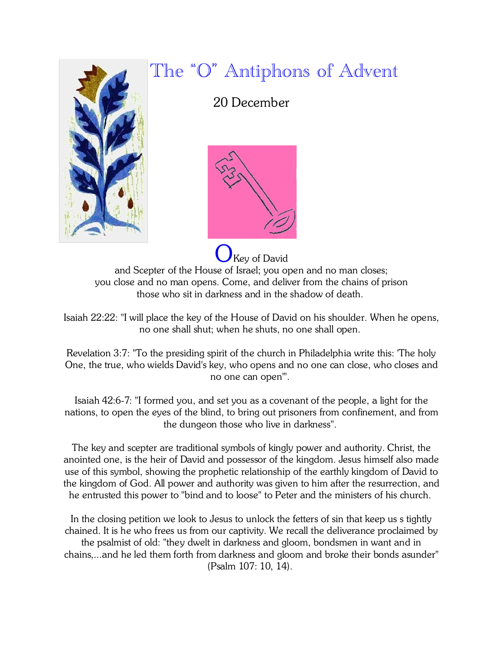

#### 20 December



**Key of David** and Scepter of the House of Israel; you open and no man closes; you close and no man opens. Come, and deliver from the chains of prison those who sit in darkness and in the shadow of death.

Isaiah 22:22: "I will place the key of the House of David on his shoulder. When he opens, no one shall shut; when he shuts, no one shall open.

Revelation 3:7: "To the presiding spirit of the church in Philadelphia write this: 'The holy One, the true, who wields David's key, who opens and no one can close, who closes and no one can open'".

Isaiah 42:6-7: "I formed you, and set you as a covenant of the people, a light for the nations, to open the eyes of the blind, to bring out prisoners from confinement, and from the dungeon those who live in darkness".

The key and scepter are traditional symbols of kingly power and authority. Christ, the anointed one, is the heir of David and possessor of the kingdom. Jesus himself also made use of this symbol, showing the prophetic relationship of the earthly kingdom of David to the kingdom of God. All power and authority was given to him after the resurrection, and he entrusted this power to "bind and to loose" to Peter and the ministers of his church.

In the closing petition we look to Jesus to unlock the fetters of sin that keep us s tightly chained. It is he who frees us from our captivity. We recall the deliverance proclaimed by the psalmist of old: "they dwelt in darkness and gloom, bondsmen in want and in chains,...and he led them forth from darkness and gloom and broke their bonds asunder" (Psalm 107: 10, 14).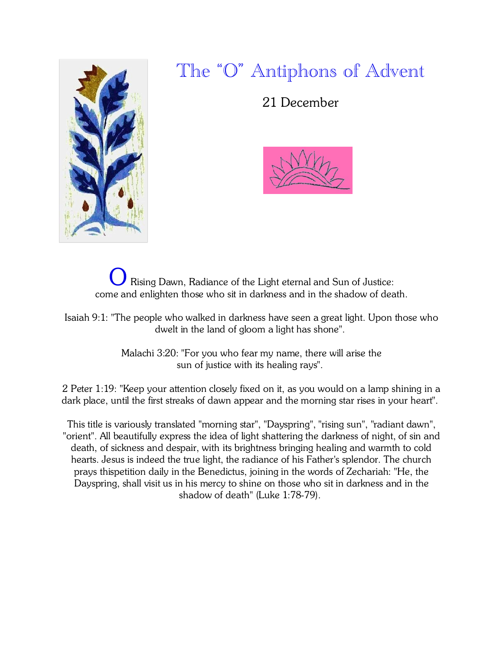

21 December



Rising Dawn, Radiance of the Light eternal and Sun of Justice: come and enlighten those who sit in darkness and in the shadow of death.

Isaiah 9:1: "The people who walked in darkness have seen a great light. Upon those who dwelt in the land of gloom a light has shone".

> Malachi 3:20: "For you who fear my name, there will arise the sun of justice with its healing rays".

2 Peter 1:19: "Keep your attention closely fixed on it, as you would on a lamp shining in a dark place, until the first streaks of dawn appear and the morning star rises in your heart".

This title is variously translated "morning star", "Dayspring", "rising sun", "radiant dawn", "orient". All beautifully express the idea of light shattering the darkness of night, of sin and death, of sickness and despair, with its brightness bringing healing and warmth to cold hearts. Jesus is indeed the true light, the radiance of his Father's splendor. The church prays thispetition daily in the Benedictus, joining in the words of Zechariah: "He, the Dayspring, shall visit us in his mercy to shine on those who sit in darkness and in the shadow of death" (Luke 1:78-79).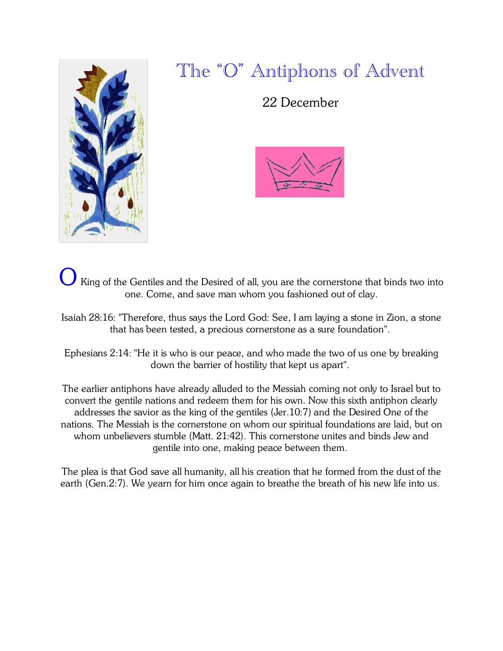

22 December



- King of the Gentiles and the Desired of all, you are the cornerstone that binds two into one. Come, and save man whom you fashioned out of clay.
- Isaiah 28:16: "Therefore, thus says the Lord God: See, I am laying a stone in Zion, a stone that has been tested, a precious cornerstone as a sure foundation".

Ephesians 2:14: "He it is who is our peace, and who made the two of us one by breaking down the barrier of hostility that kept us apart".

The earlier antiphons have already alluded to the Messiah coming not only to Israel but to convert the gentile nations and redeem them for his own. Now this sixth antiphon clearly addresses the savior as the king of the gentiles (Jer.10:7) and the Desired One of the nations. The Messiah is the cornerstone on whom our spiritual foundations are laid, but on whom unbelievers stumble (Matt. 21:42). This cornerstone unites and binds Jew and gentile into one, making peace between them.

The plea is that God save all humanity, all his creation that he formed from the dust of the earth (Gen.2:7). We yearn for him once again to breathe the breath of his new life into us.